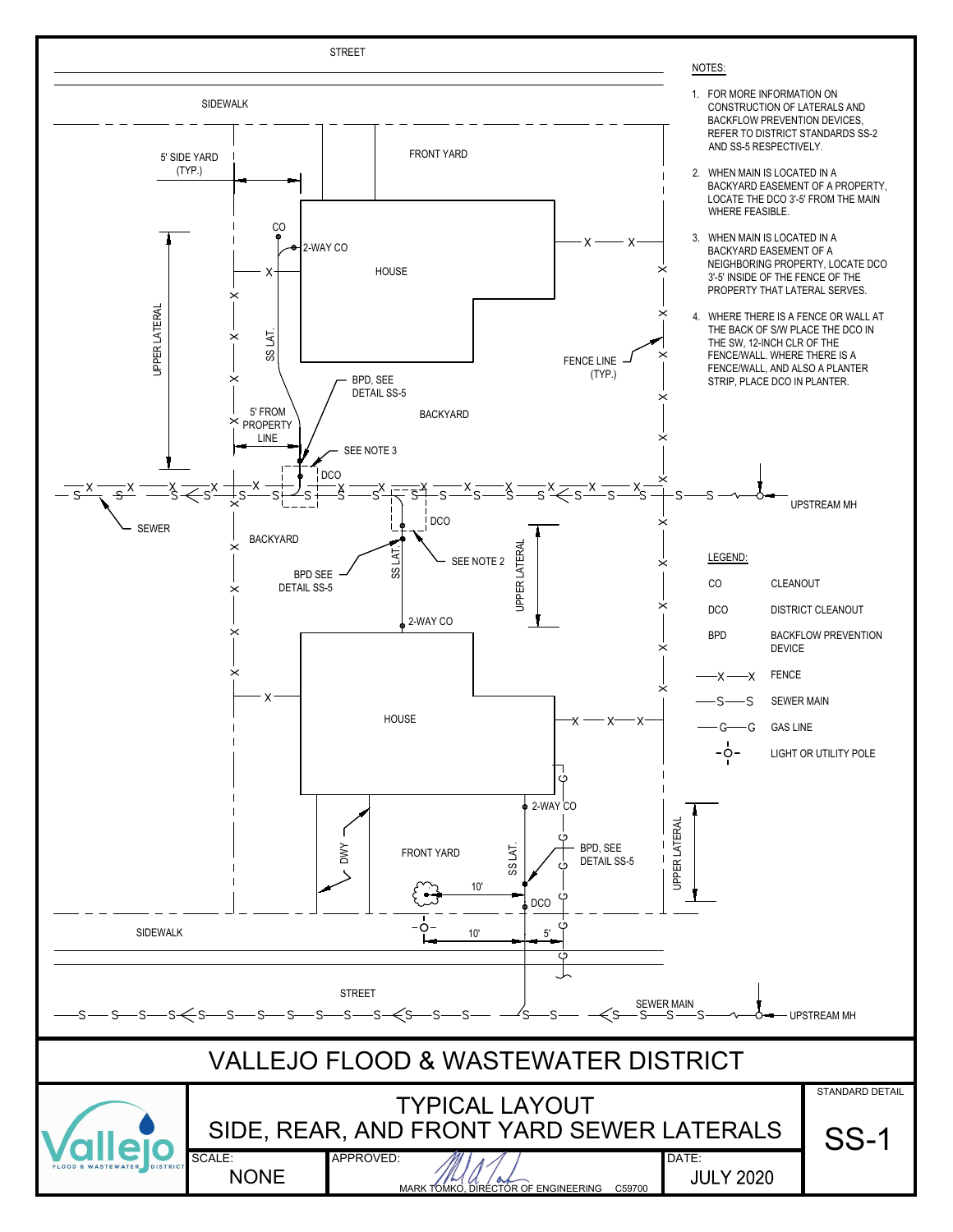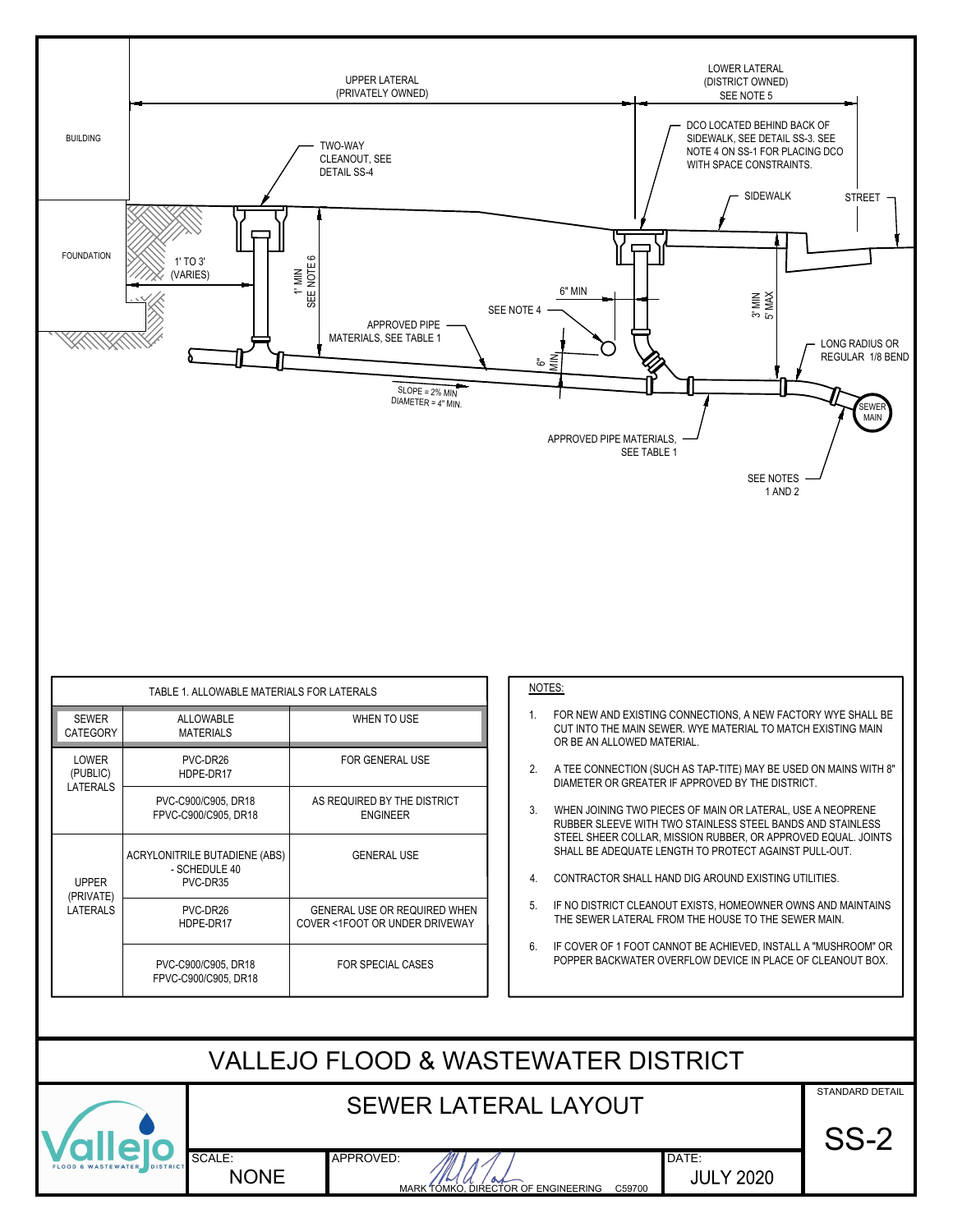

|  |                                       |                                                |                                                                | NOTES: |                  |                             |
|--|---------------------------------------|------------------------------------------------|----------------------------------------------------------------|--------|------------------|-----------------------------|
|  | <b>SEWER</b><br><b>CATEGORY</b>       | ALLOWABLE<br>WHEN TO USE<br><b>MATERIALS</b>   |                                                                |        | 1.               | FOR N<br>CUT IN<br>OR BE    |
|  | LOWER<br>(PUBLIC)<br>LATERALS         | PVC-DR26<br>HDPE-DR17                          | <b>FOR GENERAL USE</b>                                         |        | $\mathfrak{p}$   | A TEE<br><b>DIAME</b>       |
|  |                                       | PVC-C900/C905, DR18<br>FPVC-C900/C905, DR18    | AS REQUIRED BY THE DISTRICT<br><b>ENGINEER</b>                 |        | 3.               | <b>WHEN</b><br><b>RUBBE</b> |
|  | <b>UPPER</b><br>(PRIVATE)<br>LATERALS | ACRYLONITRILE BUTADIENE (ABS)<br>- SCHEDULE 40 | <b>GENERAL USE</b>                                             |        |                  | <b>STEEL</b><br>SHALL       |
|  |                                       | PVC-DR35                                       |                                                                |        | $\overline{4}$ . | <b>CONTE</b>                |
|  |                                       | PVC-DR26<br>HDPE-DR17                          | GENERAL USE OR REQUIRED WHEN<br>COVER <1FOOT OR UNDER DRIVEWAY |        | 5.               | IF NO<br>THE SI             |
|  |                                       | PVC-C900/C905, DR18<br>FPVC-C900/C905, DR18    | <b>FOR SPECIAL CASES</b>                                       |        | 6.               | IF COV<br><b>POPPE</b>      |

## NOTES:

- NOTES:<br>1. FOR NEW AND EXISTING CONNECTIONS, A NEW FACTORY WYE SHALL BE<br>CUT INTO THE MAIN SEWER. WYE MATERIAL TO MATCH EXISTING MAIN<br>OR BE AN ALLOWED MATERIAL. CUT INTO THE MAIN SEWER. WYE MATERIAL TO MATCH EXISTING MAIN OR BE AN ALLOWED MATERIAL. **EXAMPLE 2. A TEE CONNECTION (SUCH AS TAP-TITE) MAY BE USED ON MAINS WITH 8"<br>2. A TEE CONNECTION (SUCH AS TAP-TITE) MAY BE USED ON MAINS WITH 8"<br>2. A TEE CONNECTION (SUCH AS TAP-TITE) MAY BE USED ON MAINS WITH 8"<br>DIAMETER**
- DIAMETER OR GREATER IF APPROVED BY THE DISTRICT.
- NOTES:<br>
1. FOR NEW AND EXISTING CONNECTIONS, A NEW FACTORY WYE SHALL BE<br>
CUT INTO THE MAIN SEWER. WYE MATERIAL TO MATCH EXISTING MAIN<br>
OR BE AN ALLOWED MATERIAL.<br>
2. A TEE CONNECTION (SUCH AS TAP-TITE) MAY BE USED ON MAINS RUBBER SLEEVE WITH TWO STAINLESS STEEL BANDS AND STAINLESS STEEL SHEER COLLAR, MISSION RUBBER, OR APPROVED EQUAL. JOINTS SHALL BE ADEQUATE LENGTH TO PROTECT AGAINST PULL-OUT. OR BE AN ALLOWED MATERIAL.<br>
2. A TEE CONNECTION (SUCH AS TAP-TITE) MAY BE USED ON MAINS WITH<br>
DIAMETER OR GREATER IF APPROVED BY THE DISTRICT.<br>
3. WHEN JOINING TWO PIECES OF MAIN OR LATERAL, USE A NEOPRENE<br>
RUBBER SLEEVE W 2. A TEE CONNECTION (SUCH AS TAP-TITE) MAY BE USED ON MAINS WITH 8"<br>DIAMETER OR GREATER IF APPROVED BY THE DISTRICT.<br>3. WHEN JOINING TWO PIECES OF MAIN OR LATERAL, USE A NEOPRENE<br>RUBBER SLEEVE WITH TWO STAINLESS STEEL BAND 3. WHEN JOINING TWO PIECES OF MAIN OR LATERAL, USE A NEOPRENE<br>
RUBBER SLEEVE WITH TWO STAINLESS STEEL BANDS AND STAINLESS<br>
STEEL SHEER COLLAR, MISSION RUBBER, OR APPROVED EQUAL. JOINTS<br>
SHALL BE ADEQUATE LENGTH TO PROTECT
- 
- THE SEWER LATERAL FROM THE HOUSE TO THE SEWER MAIN.
- POPPER BACKWATER OVERFLOW DEVICE IN PLACE OF CLEANOUT BOX.

| VALLEJO FLOOD & WASTEWATER DISTRICT |                             |           |                                               |                           |                           |  |  |  |
|-------------------------------------|-----------------------------|-----------|-----------------------------------------------|---------------------------|---------------------------|--|--|--|
|                                     | <b>SEWER LATERAL LAYOUT</b> |           |                                               | STANDARD DETAIL<br>$SS-2$ |                           |  |  |  |
| FLOOD & WASTEWATER DISTRICT         | SCALE:<br><b>NONE</b>       | APPROVED: | $\sim$<br>MARK TÓMKO, DIRECTOR OF ENGINEERING | C59700                    | DATE:<br><b>JULY 2020</b> |  |  |  |
|                                     |                             |           |                                               |                           |                           |  |  |  |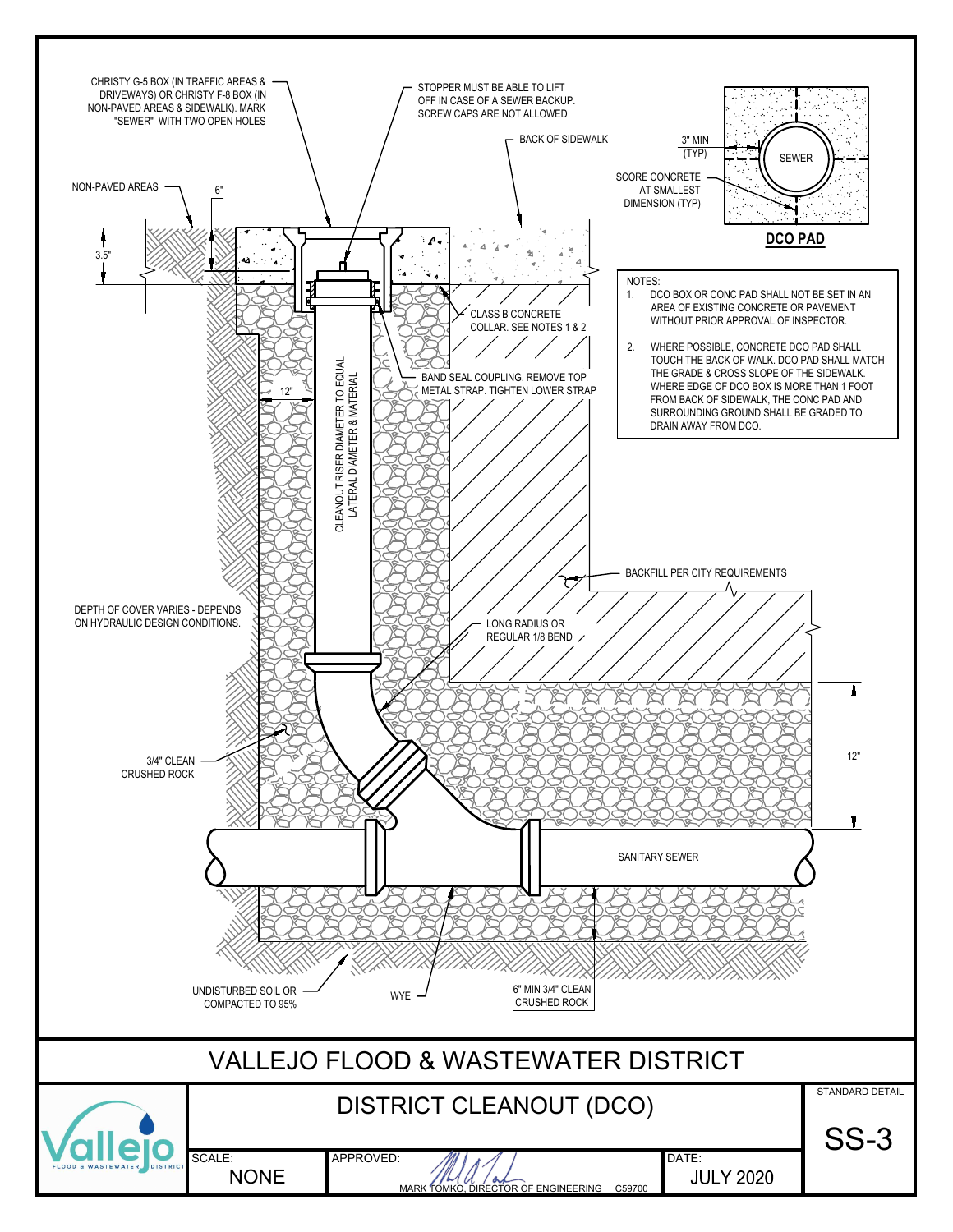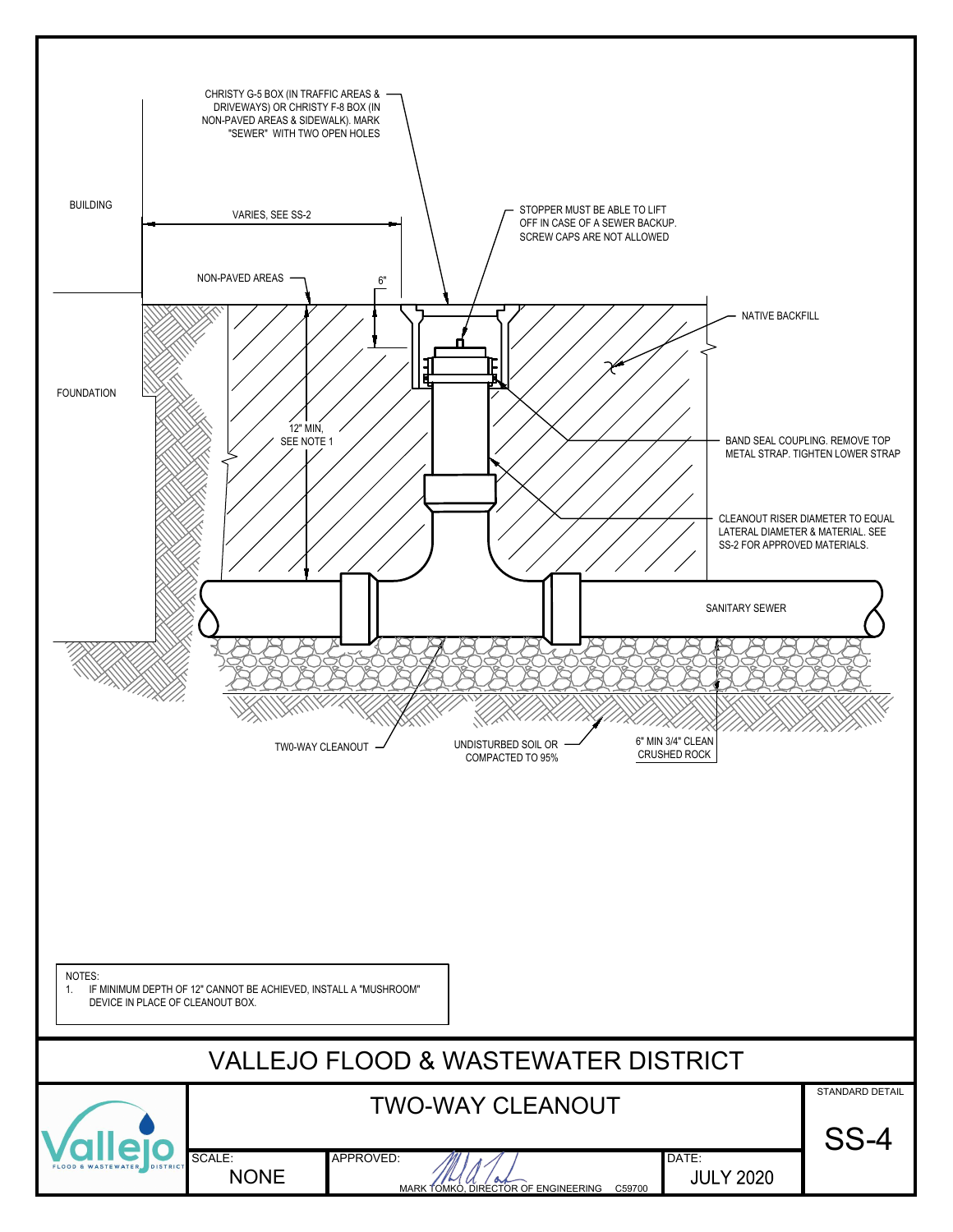